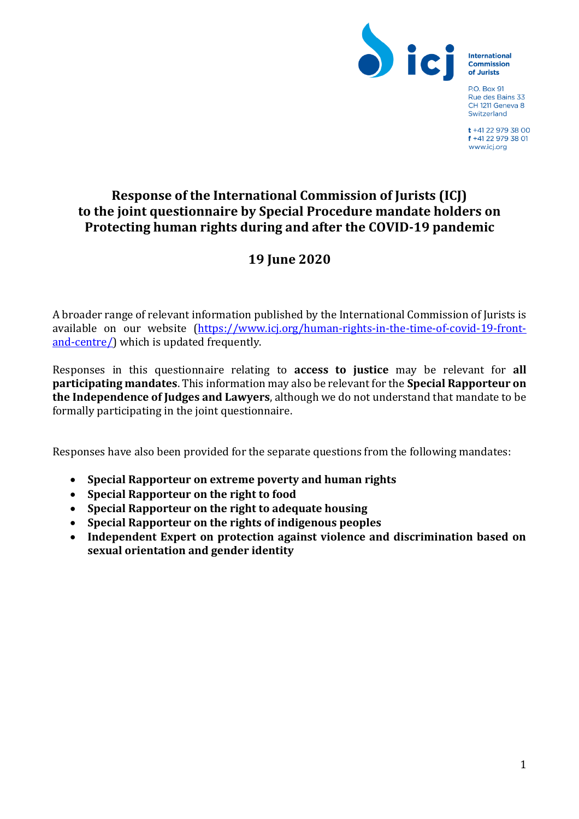

**International** Commission of Jurists

**P.O. Box 91** Rue des Bains 33 CH 1211 Geneva 8 Switzerland

t +41 22 979 38 00 f +41 22 979 38 01 www.icj.org

## **Response of the International Commission of Jurists (ICJ) to the joint questionnaire by Special Procedure mandate holders on Protecting human rights during and after the COVID-19 pandemic**

# **19 June 2020**

A broader range of relevant information published by the International Commission of Jurists is available on our website [\(https://www.icj.org/human-rights-in-the-time-of-covid-19-front](https://www.icj.org/human-rights-in-the-time-of-covid-19-front-and-centre/)[and-centre/\)](https://www.icj.org/human-rights-in-the-time-of-covid-19-front-and-centre/) which is updated frequently.

Responses in this questionnaire relating to **access to justice** may be relevant for **all participating mandates**. This information may also be relevant for the **Special Rapporteur on the Independence of Judges and Lawyers**, although we do not understand that mandate to be formally participating in the joint questionnaire.

Responses have also been provided for the separate questions from the following mandates:

- **Special Rapporteur on extreme poverty and human rights**
- **Special Rapporteur on the right to food**
- **Special Rapporteur on the right to adequate housing**
- **Special Rapporteur on the rights of indigenous peoples**
- **Independent Expert on protection against violence and discrimination based on sexual orientation and gender identity**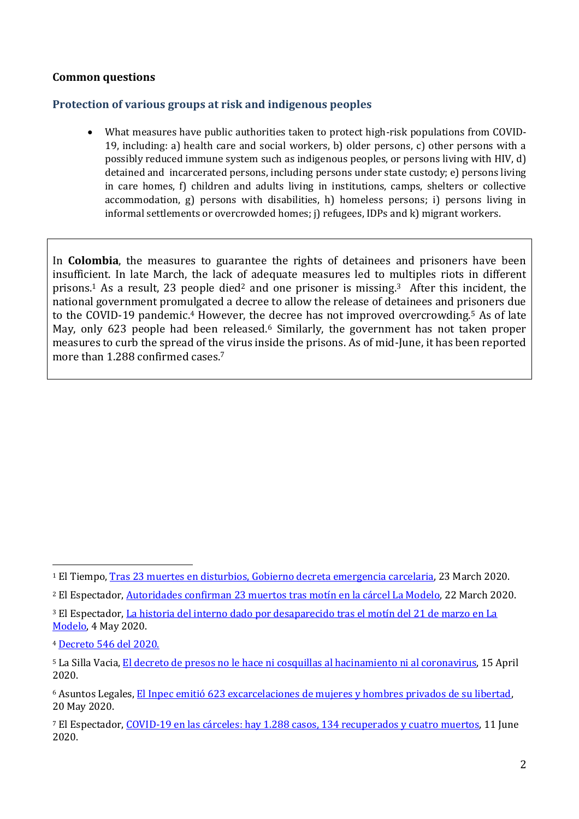#### **Common questions**

#### **Protection of various groups at risk and indigenous peoples**

• What measures have public authorities taken to protect high-risk populations from COVID-19, including: a) health care and social workers, b) older persons, c) other persons with a possibly reduced immune system such as indigenous peoples, or persons living with HIV, d) detained and incarcerated persons, including persons under state custody; e) persons living in care homes, f) children and adults living in institutions, camps, shelters or collective accommodation, g) persons with disabilities, h) homeless persons; i) persons living in informal settlements or overcrowded homes; j) refugees, IDPs and k) migrant workers.

In **Colombia**, the measures to guarantee the rights of detainees and prisoners have been insufficient. In late March, the lack of adequate measures led to multiples riots in different prisons.<sup>1</sup> As a result, 23 people died<sup>2</sup> and one prisoner is missing.<sup>3</sup> After this incident, the national government promulgated a decree to allow the release of detainees and prisoners due to the COVID-19 pandemic.<sup>4</sup> However, the decree has not improved overcrowding.<sup>5</sup> As of late May, only 623 people had been released.<sup>6</sup> Similarly, the government has not taken proper measures to curb the spread of the virus inside the prisons. As of mid-June, it has been reported more than 1.288 confirmed cases.<sup>7</sup>

<sup>4</sup> [Decreto 546 del 2020.](https://dapre.presidencia.gov.co/normativa/normativa/DECRETO%20546%20DEL%2014%20DE%20ABRIL%20DE%202020.pdf)

<sup>1</sup> El Tiempo, [Tras 23 muertes en disturbios, Gobierno decreta emergencia carcelaria,](https://www.eltiempo.com/justicia/investigacion/balance-de-motines-en-varias-carceles-del-pais-y-medidas-del-gobierno-476032) 23 March 2020.

<sup>2</sup> El Espectador[, Autoridades confirman 23 muertos tras motín en la cárcel La Modelo,](https://www.elespectador.com/noticias/judicial/autoridades-confirman-23-muertos-tras-motin-en-la-carcel-la-modelo-articulo-910653/) 22 March 2020.

<sup>3</sup> El Espectador[, La historia del interno dado por desaparecido tras el motín del 21 de marzo en La](https://www.elespectador.com/noticias/judicial/el-interno-dado-por-desaparecido-tras-el-motin-del-21-de-marzo-en-la-modelo-articulo-917799/)  [Modelo,](https://www.elespectador.com/noticias/judicial/el-interno-dado-por-desaparecido-tras-el-motin-del-21-de-marzo-en-la-modelo-articulo-917799/) 4 May 2020.

<sup>5</sup> La Silla Vacia, [El decreto de presos no le hace ni cosquillas al hacinamiento ni al coronavirus,](https://lasillavacia.com/decreto-presos-no-le-hace-ni-cosquillas-al-hacinamiento-ni-al-coronavirus-76235) 15 April 2020.

<sup>6</sup> Asuntos Legales[, El Inpec emitió 623 excarcelaciones de mujeres y hombres privados de su libertad,](https://www.asuntoslegales.com.co/actualidad/el-inpec-emitio-623-excarcelaciones-de-mujeres-y-hombres-privados-de-su-libertad-3008420) 20 May 2020.

<sup>7</sup> El Espectador[, COVID-19 en las cárceles: hay 1.288 casos, 134 recuperados y cuatro muertos,](https://www.elespectador.com/coronavirus/covid-19-en-las-carceles-hay-1065-casos-16-recuperados-y-cuatro-muertes-articulo-915830/) 11 June 2020.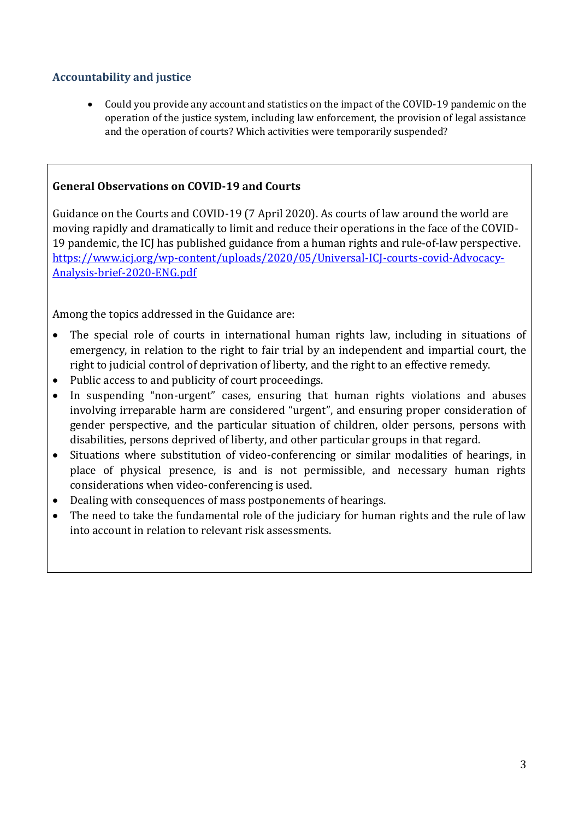## **Accountability and justice**

• Could you provide any account and statistics on the impact of the COVID-19 pandemic on the operation of the justice system, including law enforcement, the provision of legal assistance and the operation of courts? Which activities were temporarily suspended?

#### **General Observations on COVID-19 and Courts**

Guidance on the Courts and COVID-19 (7 April 2020). As courts of law around the world are moving rapidly and dramatically to limit and reduce their operations in the face of the COVID-19 pandemic, the ICJ has published guidance from a human rights and rule-of-law perspective. [https://www.icj.org/wp-content/uploads/2020/05/Universal-ICJ-courts-covid-Advocacy-](https://www.icj.org/wp-content/uploads/2020/05/Universal-ICJ-courts-covid-Advocacy-Analysis-brief-2020-ENG.pdf)[Analysis-brief-2020-ENG.pdf](https://www.icj.org/wp-content/uploads/2020/05/Universal-ICJ-courts-covid-Advocacy-Analysis-brief-2020-ENG.pdf)

Among the topics addressed in the Guidance are:

- The special role of courts in international human rights law, including in situations of emergency, in relation to the right to fair trial by an independent and impartial court, the right to judicial control of deprivation of liberty, and the right to an effective remedy.
- Public access to and publicity of court proceedings.
- In suspending "non-urgent" cases, ensuring that human rights violations and abuses involving irreparable harm are considered "urgent", and ensuring proper consideration of gender perspective, and the particular situation of children, older persons, persons with disabilities, persons deprived of liberty, and other particular groups in that regard.
- Situations where substitution of video-conferencing or similar modalities of hearings, in place of physical presence, is and is not permissible, and necessary human rights considerations when video-conferencing is used.
- Dealing with consequences of mass postponements of hearings.
- The need to take the fundamental role of the judiciary for human rights and the rule of law into account in relation to relevant risk assessments.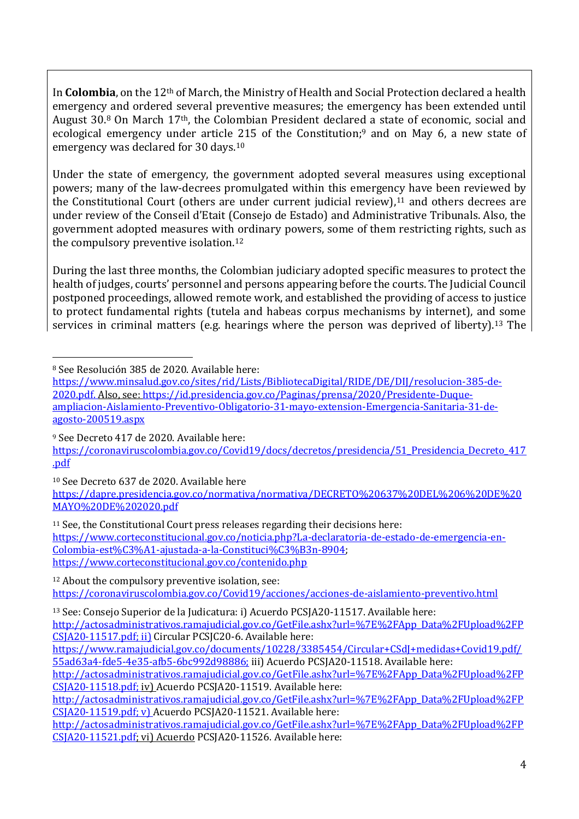In **Colombia**, on the 12th of March, the Ministry of Health and Social Protection declared a health emergency and ordered several preventive measures; the emergency has been extended until August 30.<sup>8</sup> On March 17th, the Colombian President declared a state of economic, social and ecological emergency under article 215 of the Constitution;<sup>9</sup> and on May 6, a new state of emergency was declared for 30 days.<sup>10</sup>

Under the state of emergency, the government adopted several measures using exceptional powers; many of the law-decrees promulgated within this emergency have been reviewed by the Constitutional Court (others are under current judicial review), $11$  and others decrees are under review of the Conseil d'Etait (Consejo de Estado) and Administrative Tribunals. Also, the government adopted measures with ordinary powers, some of them restricting rights, such as the compulsory preventive isolation.<sup>12</sup>

During the last three months, the Colombian judiciary adopted specific measures to protect the health of judges, courts' personnel and persons appearing before the courts. The Judicial Council postponed proceedings, allowed remote work, and established the providing of access to justice to protect fundamental rights (tutela and habeas corpus mechanisms by internet), and some services in criminal matters (e.g. hearings where the person was deprived of liberty).<sup>13</sup> The

<sup>8</sup> See Resolución 385 de 2020. Available here:

<sup>9</sup> See Decreto 417 de 2020. Available here:

[https://coronaviruscolombia.gov.co/Covid19/docs/decretos/presidencia/51\\_Presidencia\\_Decreto\\_417](https://coronaviruscolombia.gov.co/Covid19/docs/decretos/presidencia/51_Presidencia_Decreto_417.pdf) [.pdf](https://coronaviruscolombia.gov.co/Covid19/docs/decretos/presidencia/51_Presidencia_Decreto_417.pdf)

<sup>10</sup> See Decreto 637 de 2020. Available here

[https://dapre.presidencia.gov.co/normativa/normativa/DECRETO%20637%20DEL%206%20DE%20](https://dapre.presidencia.gov.co/normativa/normativa/DECRETO%20637%20DEL%206%20DE%20MAYO%20DE%202020.pdf) [MAYO%20DE%202020.pdf](https://dapre.presidencia.gov.co/normativa/normativa/DECRETO%20637%20DEL%206%20DE%20MAYO%20DE%202020.pdf)

<sup>11</sup> See, the Constitutional Court press releases regarding their decisions here: [https://www.corteconstitucional.gov.co/noticia.php?La-declaratoria-de-estado-de-emergencia-en-](https://www.corteconstitucional.gov.co/noticia.php?La-declaratoria-de-estado-de-emergencia-en-Colombia-est%C3%A1-ajustada-a-la-Constituci%C3%B3n-8904)[Colombia-est%C3%A1-ajustada-a-la-Constituci%C3%B3n-8904;](https://www.corteconstitucional.gov.co/noticia.php?La-declaratoria-de-estado-de-emergencia-en-Colombia-est%C3%A1-ajustada-a-la-Constituci%C3%B3n-8904) <https://www.corteconstitucional.gov.co/contenido.php>

<sup>12</sup> About the compulsory preventive isolation, see: <https://coronaviruscolombia.gov.co/Covid19/acciones/acciones-de-aislamiento-preventivo.html>

<sup>13</sup> See: Consejo Superior de la Judicatura: i) Acuerdo PCSJA20-11517. Available here:

[http://actosadministrativos.ramajudicial.gov.co/GetFile.ashx?url=%7E%2FApp\\_Data%2FUpload%2FP](http://actosadministrativos.ramajudicial.gov.co/GetFile.ashx?url=%7E%2FApp_Data%2FUpload%2FPCSJA20-11517.pdf) [CSJA20-11517.pdf;](http://actosadministrativos.ramajudicial.gov.co/GetFile.ashx?url=%7E%2FApp_Data%2FUpload%2FPCSJA20-11517.pdf) ii) Circular PCSJC20-6. Available here:

[http://actosadministrativos.ramajudicial.gov.co/GetFile.ashx?url=%7E%2FApp\\_Data%2FUpload%2FP](http://actosadministrativos.ramajudicial.gov.co/GetFile.ashx?url=%7E%2FApp_Data%2FUpload%2FPCSJA20-11518.pdf) [CSJA20-11518.pdf;](http://actosadministrativos.ramajudicial.gov.co/GetFile.ashx?url=%7E%2FApp_Data%2FUpload%2FPCSJA20-11518.pdf) iv) Acuerdo PCSJA20-11519. Available here:

[https://www.minsalud.gov.co/sites/rid/Lists/BibliotecaDigital/RIDE/DE/DIJ/resolucion-385-de-](https://www.minsalud.gov.co/sites/rid/Lists/BibliotecaDigital/RIDE/DE/DIJ/resolucion-385-de-2020.pdf)[2020.pdf.](https://www.minsalud.gov.co/sites/rid/Lists/BibliotecaDigital/RIDE/DE/DIJ/resolucion-385-de-2020.pdf) Also, see[: https://id.presidencia.gov.co/Paginas/prensa/2020/Presidente-Duque](https://id.presidencia.gov.co/Paginas/prensa/2020/Presidente-Duque-ampliacion-Aislamiento-Preventivo-Obligatorio-31-mayo-extension-Emergencia-Sanitaria-31-de-agosto-200519.aspx)[ampliacion-Aislamiento-Preventivo-Obligatorio-31-mayo-extension-Emergencia-Sanitaria-31-de](https://id.presidencia.gov.co/Paginas/prensa/2020/Presidente-Duque-ampliacion-Aislamiento-Preventivo-Obligatorio-31-mayo-extension-Emergencia-Sanitaria-31-de-agosto-200519.aspx)[agosto-200519.aspx](https://id.presidencia.gov.co/Paginas/prensa/2020/Presidente-Duque-ampliacion-Aislamiento-Preventivo-Obligatorio-31-mayo-extension-Emergencia-Sanitaria-31-de-agosto-200519.aspx)

[https://www.ramajudicial.gov.co/documents/10228/3385454/Circular+CSdJ+medidas+Covid19.pdf/](https://www.ramajudicial.gov.co/documents/10228/3385454/Circular+CSdJ+medidas+Covid19.pdf/55ad63a4-fde5-4e35-afb5-6bc992d98886) [55ad63a4-fde5-4e35-afb5-6bc992d98886;](https://www.ramajudicial.gov.co/documents/10228/3385454/Circular+CSdJ+medidas+Covid19.pdf/55ad63a4-fde5-4e35-afb5-6bc992d98886) iii) Acuerdo PCSJA20-11518. Available here:

[http://actosadministrativos.ramajudicial.gov.co/GetFile.ashx?url=%7E%2FApp\\_Data%2FUpload%2FP](http://actosadministrativos.ramajudicial.gov.co/GetFile.ashx?url=%7E%2FApp_Data%2FUpload%2FPCSJA20-11519.pdf) [CSJA20-11519.pdf;](http://actosadministrativos.ramajudicial.gov.co/GetFile.ashx?url=%7E%2FApp_Data%2FUpload%2FPCSJA20-11519.pdf) v) Acuerdo PCSJA20-11521. Available here:

[http://actosadministrativos.ramajudicial.gov.co/GetFile.ashx?url=%7E%2FApp\\_Data%2FUpload%2FP](http://actosadministrativos.ramajudicial.gov.co/GetFile.ashx?url=%7E%2FApp_Data%2FUpload%2FPCSJA20-11521.pdf) [CSJA20-11521.pdf;](http://actosadministrativos.ramajudicial.gov.co/GetFile.ashx?url=%7E%2FApp_Data%2FUpload%2FPCSJA20-11521.pdf) vi) Acuerdo PCSJA20-11526. Available here: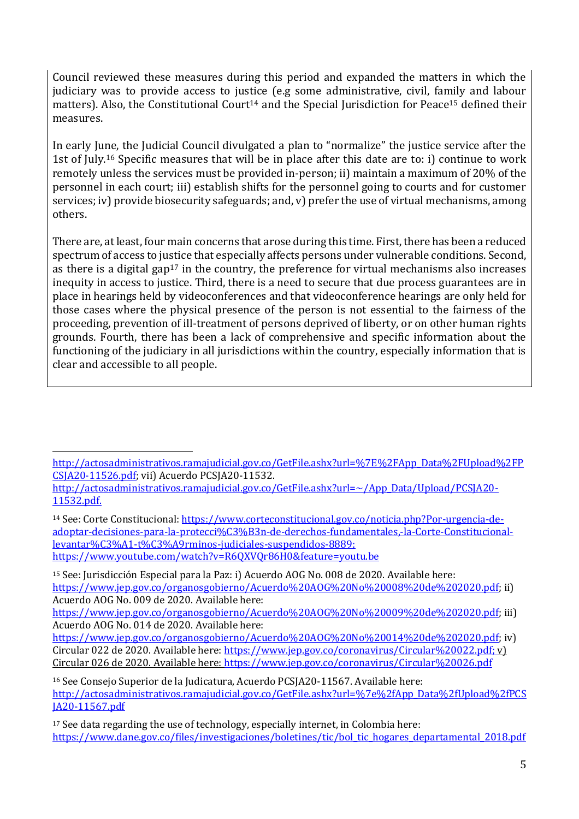Council reviewed these measures during this period and expanded the matters in which the judiciary was to provide access to justice (e.g some administrative, civil, family and labour matters). Also, the Constitutional Court<sup>14</sup> and the Special Jurisdiction for Peace<sup>15</sup> defined their measures.

In early June, the Judicial Council divulgated a plan to "normalize" the justice service after the 1st of July.<sup>16</sup> Specific measures that will be in place after this date are to: i) continue to work remotely unless the services must be provided in-person; ii) maintain a maximum of 20% of the personnel in each court; iii) establish shifts for the personnel going to courts and for customer services; iv) provide biosecurity safeguards; and, v) prefer the use of virtual mechanisms, among others.

There are, at least, four main concerns that arose during this time. First, there has been a reduced spectrum of access to justice that especially affects persons under vulnerable conditions. Second, as there is a digital gap<sup>17</sup> in the country, the preference for virtual mechanisms also increases inequity in access to justice. Third, there is a need to secure that due process guarantees are in place in hearings held by videoconferences and that videoconference hearings are only held for those cases where the physical presence of the person is not essential to the fairness of the proceeding, prevention of ill-treatment of persons deprived of liberty, or on other human rights grounds. Fourth, there has been a lack of comprehensive and specific information about the functioning of the judiciary in all jurisdictions within the country, especially information that is clear and accessible to all people.

[http://actosadministrativos.ramajudicial.gov.co/GetFile.ashx?url=%7E%2FApp\\_Data%2FUpload%2FP](http://actosadministrativos.ramajudicial.gov.co/GetFile.ashx?url=%7E%2FApp_Data%2FUpload%2FPCSJA20-11526.pdf) [CSJA20-11526.pdf;](http://actosadministrativos.ramajudicial.gov.co/GetFile.ashx?url=%7E%2FApp_Data%2FUpload%2FPCSJA20-11526.pdf) vii) Acuerdo PCSJA20-11532.

[http://actosadministrativos.ramajudicial.gov.co/GetFile.ashx?url=~/App\\_Data/Upload/PCSJA20-](http://actosadministrativos.ramajudicial.gov.co/GetFile.ashx?url=~/App_Data/Upload/PCSJA20-11532.pdf) [11532.pdf.](http://actosadministrativos.ramajudicial.gov.co/GetFile.ashx?url=~/App_Data/Upload/PCSJA20-11532.pdf) 

<sup>14</sup> See: Corte Constitucional: [https://www.corteconstitucional.gov.co/noticia.php?Por-urgencia-de](https://www.corteconstitucional.gov.co/noticia.php?Por-urgencia-de-adoptar-decisiones-para-la-protecci%C3%B3n-de-derechos-fundamentales,-la-Corte-Constitucional-levantar%C3%A1-t%C3%A9rminos-judiciales-suspendidos-8889)[adoptar-decisiones-para-la-protecci%C3%B3n-de-derechos-fundamentales,-la-Corte-Constitucional](https://www.corteconstitucional.gov.co/noticia.php?Por-urgencia-de-adoptar-decisiones-para-la-protecci%C3%B3n-de-derechos-fundamentales,-la-Corte-Constitucional-levantar%C3%A1-t%C3%A9rminos-judiciales-suspendidos-8889)[levantar%C3%A1-t%C3%A9rminos-judiciales-suspendidos-8889;](https://www.corteconstitucional.gov.co/noticia.php?Por-urgencia-de-adoptar-decisiones-para-la-protecci%C3%B3n-de-derechos-fundamentales,-la-Corte-Constitucional-levantar%C3%A1-t%C3%A9rminos-judiciales-suspendidos-8889) <https://www.youtube.com/watch?v=R6QXVQr86H0&feature=youtu.be>

<sup>15</sup> See: Jurisdicción Especial para la Paz: i) Acuerdo AOG No. 008 de 2020. Available here: [https://www.jep.gov.co/organosgobierno/Acuerdo%20AOG%20No%20008%20de%202020.pdf;](https://www.jep.gov.co/organosgobierno/Acuerdo%20AOG%20No%20008%20de%202020.pdf) ii) Acuerdo AOG No. 009 de 2020. Available here:

[https://www.jep.gov.co/organosgobierno/Acuerdo%20AOG%20No%20009%20de%202020.pdf;](https://www.jep.gov.co/organosgobierno/Acuerdo%20AOG%20No%20009%20de%202020.pdf) iii) Acuerdo AOG No. 014 de 2020. Available here:

[https://www.jep.gov.co/organosgobierno/Acuerdo%20AOG%20No%20014%20de%202020.pdf;](https://www.jep.gov.co/organosgobierno/Acuerdo%20AOG%20No%20014%20de%202020.pdf) iv) Circular 022 de 2020. Available here: [https://www.jep.gov.co/coronavirus/Circular%20022.pdf;](https://www.jep.gov.co/coronavirus/Circular%20022.pdf) y) Circular 026 de 2020. Available here:<https://www.jep.gov.co/coronavirus/Circular%20026.pdf>

<sup>16</sup> See Consejo Superior de la Judicatura, Acuerdo PCSJA20-11567. Available here: [http://actosadministrativos.ramajudicial.gov.co/GetFile.ashx?url=%7e%2fApp\\_Data%2fUpload%2fPCS](http://actosadministrativos.ramajudicial.gov.co/GetFile.ashx?url=%7e%2fApp_Data%2fUpload%2fPCSJA20-11567.pdf) [JA20-11567.pdf](http://actosadministrativos.ramajudicial.gov.co/GetFile.ashx?url=%7e%2fApp_Data%2fUpload%2fPCSJA20-11567.pdf)

<sup>17</sup> See data regarding the use of technology, especially internet, in Colombia here: [https://www.dane.gov.co/files/investigaciones/boletines/tic/bol\\_tic\\_hogares\\_departamental\\_2018.pdf](https://www.dane.gov.co/files/investigaciones/boletines/tic/bol_tic_hogares_departamental_2018.pdf)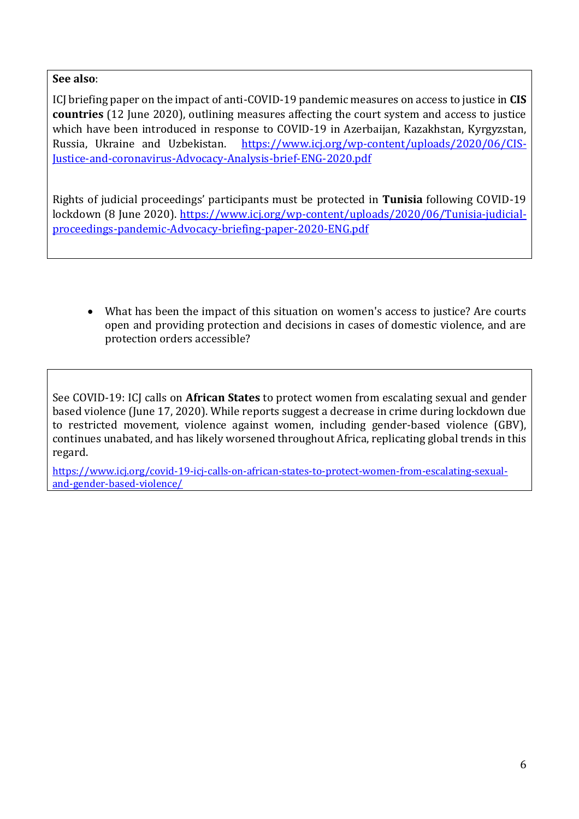#### **See also**:

ICJ briefing paper on the impact of anti-COVID-19 pandemic measures on access to justice in **CIS countries** (12 June 2020), outlining measures affecting the court system and access to justice which have been introduced in response to COVID-19 in Azerbaijan, Kazakhstan, Kyrgyzstan, Russia, Ukraine and Uzbekistan. [https://www.icj.org/wp-content/uploads/2020/06/CIS-](https://www.icj.org/wp-content/uploads/2020/06/CIS-Justice-and-coronavirus-Advocacy-Analysis-brief-ENG-2020.pdf)[Justice-and-coronavirus-Advocacy-Analysis-brief-ENG-2020.pdf](https://www.icj.org/wp-content/uploads/2020/06/CIS-Justice-and-coronavirus-Advocacy-Analysis-brief-ENG-2020.pdf)

Rights of judicial proceedings' participants must be protected in **Tunisia** following COVID-19 lockdown (8 June 2020). [https://www.icj.org/wp-content/uploads/2020/06/Tunisia-judicial](https://www.icj.org/wp-content/uploads/2020/06/Tunisia-judicial-proceedings-pandemic-Advocacy-briefing-paper-2020-ENG.pdf)[proceedings-pandemic-Advocacy-briefing-paper-2020-ENG.pdf](https://www.icj.org/wp-content/uploads/2020/06/Tunisia-judicial-proceedings-pandemic-Advocacy-briefing-paper-2020-ENG.pdf)

• What has been the impact of this situation on women's access to justice? Are courts open and providing protection and decisions in cases of domestic violence, and are protection orders accessible?

See COVID-19: ICJ calls on **African States** to protect women from escalating sexual and gender based violence (June 17, 2020). While reports suggest a decrease in crime during lockdown due to restricted movement, violence against women, including gender-based violence (GBV), continues unabated, and has likely worsened throughout Africa, replicating global trends in this regard.

[https://www.icj.org/covid-19-icj-calls-on-african-states-to-protect-women-from-escalating-sexual](https://www.icj.org/covid-19-icj-calls-on-african-states-to-protect-women-from-escalating-sexual-and-gender-based-violence/)[and-gender-based-violence/](https://www.icj.org/covid-19-icj-calls-on-african-states-to-protect-women-from-escalating-sexual-and-gender-based-violence/)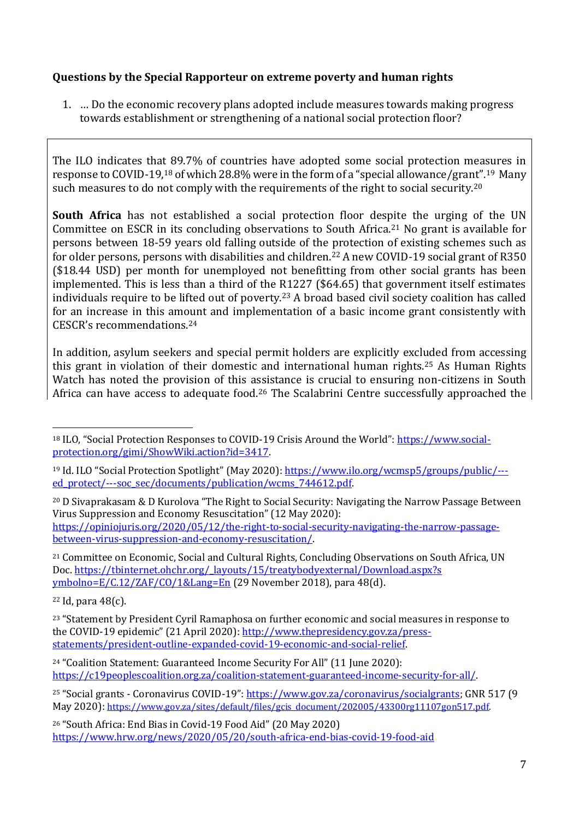## **Questions by the Special Rapporteur on extreme poverty and human rights**

1. … Do the economic recovery plans adopted include measures towards making progress towards establishment or strengthening of a national social protection floor?

The ILO indicates that 89.7% of countries have adopted some social protection measures in response to COVID-19,<sup>18</sup> of which 28.8% were in the form of a "special allowance/grant".19 Many such measures to do not comply with the requirements of the right to social security.<sup>20</sup>

**South Africa** has not established a social protection floor despite the urging of the UN Committee on ESCR in its concluding observations to South Africa.<sup>21</sup> No grant is available for persons between 18-59 years old falling outside of the protection of existing schemes such as for older persons, persons with disabilities and children.<sup>22</sup> A new COVID-19 social grant of R350 (\$18.44 USD) per month for unemployed not benefitting from other social grants has been implemented. This is less than a third of the R1227 (\$64.65) that government itself estimates individuals require to be lifted out of poverty.<sup>23</sup> A broad based civil society coalition has called for an increase in this amount and implementation of a basic income grant consistently with CESCR's recommendations.<sup>24</sup>

In addition, asylum seekers and special permit holders are explicitly excluded from accessing this grant in violation of their domestic and international human rights.<sup>25</sup> As Human Rights Watch has noted the provision of this assistance is crucial to ensuring non-citizens in South Africa can have access to adequate food.<sup>26</sup> The Scalabrini Centre successfully approached the

<sup>21</sup> Committee on Economic, Social and Cultural Rights, Concluding Observations on South Africa, UN Doc[. https://tbinternet.ohchr.org/\\_layouts/15/treatybodyexternal/Download.aspx?s](https://tbinternet.ohchr.org/_layouts/15/treatybodyexternal/Download.aspx?s%20ymbolno=E/C.12/ZAF/CO/1&Lang=En)  [ymbolno=E/C.12/ZAF/CO/1&Lang=En](https://tbinternet.ohchr.org/_layouts/15/treatybodyexternal/Download.aspx?s%20ymbolno=E/C.12/ZAF/CO/1&Lang=En) (29 November 2018), para 48(d).

<sup>22</sup> Id, para 48(c).

<sup>18</sup> ILO, "Social Protection Responses to COVID-19 Crisis Around the World": [https://www.social](https://www.social-protection.org/gimi/ShowWiki.action?id=3417)[protection.org/gimi/ShowWiki.action?id=3417.](https://www.social-protection.org/gimi/ShowWiki.action?id=3417)

<sup>&</sup>lt;sup>19</sup> Id. ILO "Social Protection Spotlight" (May 2020): [https://www.ilo.org/wcmsp5/groups/public/--](https://www.ilo.org/wcmsp5/groups/public/---ed_protect/---soc_sec/documents/publication/wcms_744612.pdf) [ed\\_protect/---soc\\_sec/documents/publication/wcms\\_744612.pdf.](https://www.ilo.org/wcmsp5/groups/public/---ed_protect/---soc_sec/documents/publication/wcms_744612.pdf)

<sup>20</sup> D Sivaprakasam & D Kurolova "The Right to Social Security: Navigating the Narrow Passage Between Virus Suppression and Economy Resuscitation" (12 May 2020): [https://opiniojuris.org/2020/05/12/the-right-to-social-security-navigating-the-narrow-passage](https://opiniojuris.org/2020/05/12/the-right-to-social-security-navigating-the-narrow-passage-between-virus-suppression-and-economy-resuscitation/)[between-virus-suppression-and-economy-resuscitation/.](https://opiniojuris.org/2020/05/12/the-right-to-social-security-navigating-the-narrow-passage-between-virus-suppression-and-economy-resuscitation/)

<sup>&</sup>lt;sup>23</sup> "Statement by President Cyril Ramaphosa on further economic and social measures in response to the COVID-19 epidemic" (21 April 2020): [http://www.thepresidency.gov.za/press](http://www.thepresidency.gov.za/press-statements/president-outline-expanded-covid-19-economic-and-social-relief)[statements/president-outline-expanded-covid-19-economic-and-social-relief.](http://www.thepresidency.gov.za/press-statements/president-outline-expanded-covid-19-economic-and-social-relief)

<sup>24</sup> "Coalition Statement: Guaranteed Income Security For All" (11 June 2020): [https://c19peoplescoalition.org.za/coalition-statement-guaranteed-income-security-for-all/.](https://c19peoplescoalition.org.za/coalition-statement-guaranteed-income-security-for-all/)

<sup>25</sup> "Social grants - Coronavirus COVID-19": [https://www.gov.za/coronavirus/socialgrants;](https://www.gov.za/coronavirus/socialgrants) GNR 517 (9 May 2020): [https://www.gov.za/sites/default/files/gcis\\_document/202005/43300rg11107gon517.pdf.](https://www.gov.za/sites/default/files/gcis_document/202005/43300rg11107gon517.pdf)

<sup>26</sup> "South Africa: End Bias in Covid-19 Food Aid" (20 May 2020) <https://www.hrw.org/news/2020/05/20/south-africa-end-bias-covid-19-food-aid>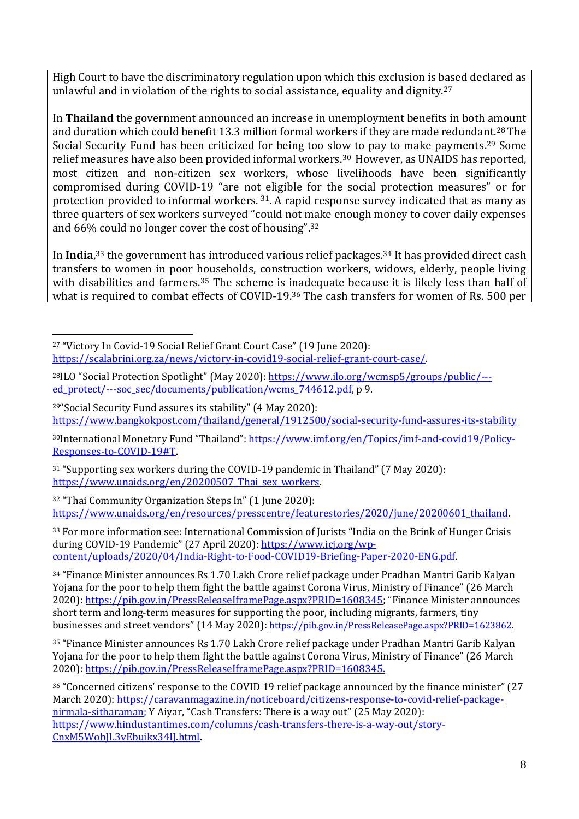High Court to have the discriminatory regulation upon which this exclusion is based declared as unlawful and in violation of the rights to social assistance, equality and dignity.<sup>27</sup>

In **Thailand** the government announced an increase in unemployment benefits in both amount and duration which could benefit 13.3 million formal workers if they are made redundant.<sup>28</sup> The Social Security Fund has been criticized for being too slow to pay to make payments.<sup>29</sup> Some relief measures have also been provided informal workers.30 However, as UNAIDS has reported, most citizen and non-citizen sex workers, whose livelihoods have been significantly compromised during COVID-19 "are not eligible for the social protection measures" or for protection provided to informal workers. <sup>31</sup>. A rapid response survey indicated that as many as three quarters of sex workers surveyed "could not make enough money to cover daily expenses and 66% could no longer cover the cost of housing".<sup>32</sup>

In **India**, <sup>33</sup> the government has introduced various relief packages.<sup>34</sup> It has provided direct cash transfers to women in poor households, construction workers, widows, elderly, people living with disabilities and farmers.<sup>35</sup> The scheme is inadequate because it is likely less than half of what is required to combat effects of COVID-19.<sup>36</sup> The cash transfers for women of Rs. 500 per

30International Monetary Fund "Thailand": [https://www.imf.org/en/Topics/imf-and-covid19/Policy-](https://www.imf.org/en/Topics/imf-and-covid19/Policy-Responses-to-COVID-19#T)[Responses-to-COVID-19#T.](https://www.imf.org/en/Topics/imf-and-covid19/Policy-Responses-to-COVID-19#T)

<sup>31</sup> "Supporting sex workers during the COVID-19 pandemic in Thailand" (7 May 2020): https://www.unaids.org/en/20200507 Thai sex workers.

<sup>32</sup> "Thai Community Organization Steps In" (1 June 2020): [https://www.unaids.org/en/resources/presscentre/featurestories/2020/june/20200601\\_thailand.](https://www.unaids.org/en/resources/presscentre/featurestories/2020/june/20200601_thailand)

33 For more information see: International Commission of Jurists "India on the Brink of Hunger Crisis during COVID-19 Pandemic" (27 April 2020): [https://www.icj.org/wp](https://www.icj.org/wp-content/uploads/2020/04/India-Right-to-Food-COVID19-Briefing-Paper-2020-ENG.pdf)[content/uploads/2020/04/India-Right-to-Food-COVID19-Briefing-Paper-2020-ENG.pdf.](https://www.icj.org/wp-content/uploads/2020/04/India-Right-to-Food-COVID19-Briefing-Paper-2020-ENG.pdf)

<sup>34</sup> "Finance Minister announces Rs 1.70 Lakh Crore relief package under Pradhan Mantri Garib Kalyan Yojana for the poor to help them fight the battle against Corona Virus, Ministry of Finance" (26 March 2020):<https://pib.gov.in/PressReleaseIframePage.aspx?PRID=1608345>; "Finance Minister announces short term and long-term measures for supporting the poor, including migrants, farmers, tiny businesses and street vendors" (14 May 2020): <https://pib.gov.in/PressReleasePage.aspx?PRID=1623862>.

<sup>27</sup> "Victory In Covid-19 Social Relief Grant Court Case" (19 June 2020):

[https://scalabrini.org.za/news/victory-in-covid19-social-relief-grant-court-case/.](https://scalabrini.org.za/news/victory-in-covid19-social-relief-grant-court-case/)

<sup>28</sup>ILO "Social Protection Spotlight" (May 2020): [https://www.ilo.org/wcmsp5/groups/public/--](https://www.ilo.org/wcmsp5/groups/public/---ed_protect/---soc_sec/documents/publication/wcms_744612.pdf) [ed\\_protect/---soc\\_sec/documents/publication/wcms\\_744612.pdf,](https://www.ilo.org/wcmsp5/groups/public/---ed_protect/---soc_sec/documents/publication/wcms_744612.pdf) p 9.

<sup>29</sup>"Social Security Fund assures its stability" (4 May 2020): <https://www.bangkokpost.com/thailand/general/1912500/social-security-fund-assures-its-stability>

<sup>35</sup> "Finance Minister announces Rs 1.70 Lakh Crore relief package under Pradhan Mantri Garib Kalyan Yojana for the poor to help them fight the battle against Corona Virus, Ministry of Finance" (26 March 2020): [https://pib.gov.in/PressReleaseIframePage.aspx?PRID=1608345.](https://pib.gov.in/PressReleaseIframePage.aspx?PRID=1608345)

<sup>36</sup> "Concerned citizens' response to the COVID 19 relief package announced by the finance minister" (27 March 2020): [https://caravanmagazine.in/noticeboard/citizens-response-to-covid-relief-package](https://caravanmagazine.in/noticeboard/citizens-response-to-covid-relief-package-nirmala-sitharaman)[nirmala-sitharaman;](https://caravanmagazine.in/noticeboard/citizens-response-to-covid-relief-package-nirmala-sitharaman) Y Aiyar, "Cash Transfers: There is a way out" (25 May 2020): [https://www.hindustantimes.com/columns/cash-transfers-there-is-a-way-out/story-](https://www.hindustantimes.com/columns/cash-transfers-there-is-a-way-out/story-CnxM5WobJL3vEbuikx34IJ.html)[CnxM5WobJL3vEbuikx34IJ.html.](https://www.hindustantimes.com/columns/cash-transfers-there-is-a-way-out/story-CnxM5WobJL3vEbuikx34IJ.html)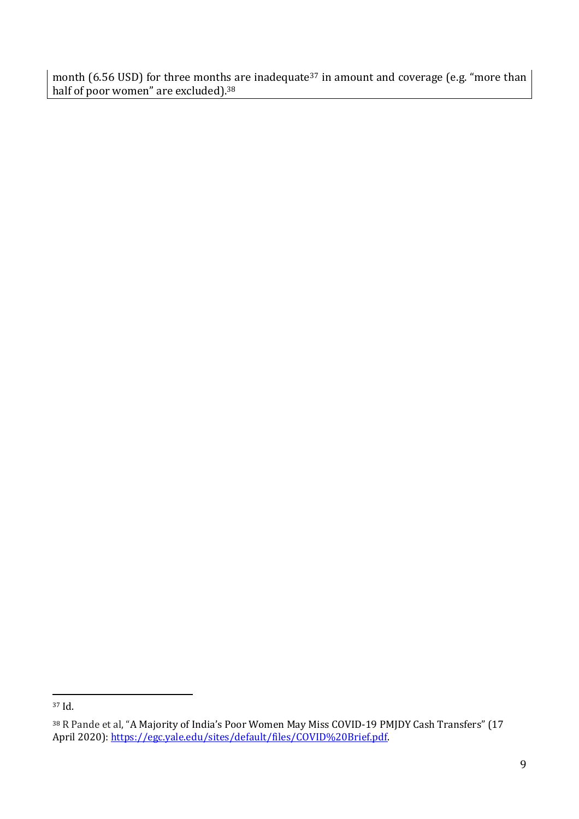month (6.56 USD) for three months are inadequate<sup>37</sup> in amount and coverage (e.g. "more than half of poor women" are excluded). 38

<sup>37</sup> Id.

<sup>&</sup>lt;sup>38</sup> R Pande et al, "A Majority of India's Poor Women May Miss COVID-19 PMJDY Cash Transfers" (17 April 2020): [https://egc.yale.edu/sites/default/files/COVID%20Brief.pdf.](https://egc.yale.edu/sites/default/files/COVID%20Brief.pdf)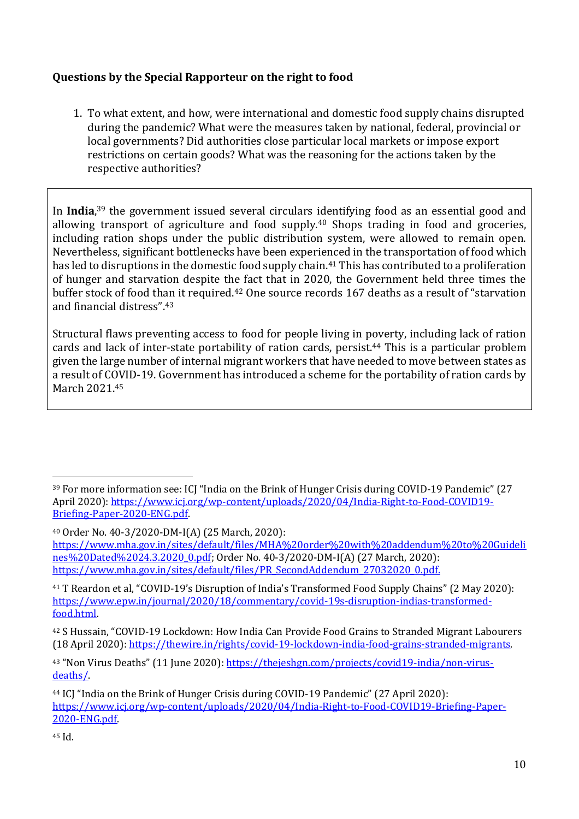## **Questions by the Special Rapporteur on the right to food**

1. To what extent, and how, were international and domestic food supply chains disrupted during the pandemic? What were the measures taken by national, federal, provincial or local governments? Did authorities close particular local markets or impose export restrictions on certain goods? What was the reasoning for the actions taken by the respective authorities?

In **India**, <sup>39</sup> the government issued several circulars identifying food as an essential good and allowing transport of agriculture and food supply.<sup>40</sup> Shops trading in food and groceries, including ration shops under the public distribution system, were allowed to remain open. Nevertheless, significant bottlenecks have been experienced in the transportation of food which has led to disruptions in the domestic food supply chain.<sup>41</sup> This has contributed to a proliferation of hunger and starvation despite the fact that in 2020, the Government held three times the buffer stock of food than it required.<sup>42</sup> One source records 167 deaths as a result of "starvation and financial distress".<sup>43</sup>

Structural flaws preventing access to food for people living in poverty, including lack of ration cards and lack of inter-state portability of ration cards, persist.<sup>44</sup> This is a particular problem given the large number of internal migrant workers that have needed to move between states as a result of COVID-19. Government has introduced a scheme for the portability of ration cards by March 2021.<sup>45</sup>

<sup>41</sup> T Reardon et al, "COVID-19's Disruption of India's Transformed Food Supply Chains" (2 May 2020): [https://www.epw.in/journal/2020/18/commentary/covid-19s-disruption-indias-transformed](https://www.epw.in/journal/2020/18/commentary/covid-19s-disruption-indias-transformed-food.html)[food.html.](https://www.epw.in/journal/2020/18/commentary/covid-19s-disruption-indias-transformed-food.html) 

<sup>39</sup> For more information see: ICJ "India on the Brink of Hunger Crisis during COVID-19 Pandemic" (27 April 2020): [https://www.icj.org/wp-content/uploads/2020/04/India-Right-to-Food-COVID19-](https://www.icj.org/wp-content/uploads/2020/04/India-Right-to-Food-COVID19-Briefing-Paper-2020-ENG.pdf) [Briefing-Paper-2020-ENG.pdf.](https://www.icj.org/wp-content/uploads/2020/04/India-Right-to-Food-COVID19-Briefing-Paper-2020-ENG.pdf)

<sup>40</sup> Order No. 40-3/2020-DM-I(A) (25 March, 2020):

[https://www.mha.gov.in/sites/default/files/MHA%20order%20with%20addendum%20to%20Guideli](https://www.mha.gov.in/sites/default/files/MHA%20order%20with%20addendum%20to%20Guidelines%20Dated%2024.3.2020_0.pdf) [nes%20Dated%2024.3.2020\\_0.pdf;](https://www.mha.gov.in/sites/default/files/MHA%20order%20with%20addendum%20to%20Guidelines%20Dated%2024.3.2020_0.pdf) Order No. 40-3/2020-DM-I(A) (27 March, 2020): [https://www.mha.gov.in/sites/default/files/PR\\_SecondAddendum\\_27032020\\_0.pdf.](https://www.mha.gov.in/sites/default/files/PR_SecondAddendum_27032020_0.pdf)

<sup>42</sup> S Hussain, "COVID-19 Lockdown: How India Can Provide Food Grains to Stranded Migrant Labourers (18 April 2020)[: https://thewire.in/rights/covid-19-lockdown-india-food-grains-stranded-migrants.](https://thewire.in/rights/covid-19-lockdown-india-food-grains-stranded-migrants)

<sup>43 &</sup>quot;Non Virus Deaths" (11 June 2020): [https://thejeshgn.com/projects/covid19-india/non-virus](https://thejeshgn.com/projects/covid19-india/non-virus-deaths/)[deaths/.](https://thejeshgn.com/projects/covid19-india/non-virus-deaths/)

<sup>44</sup> ICJ "India on the Brink of Hunger Crisis during COVID-19 Pandemic" (27 April 2020): [https://www.icj.org/wp-content/uploads/2020/04/India-Right-to-Food-COVID19-Briefing-Paper-](https://www.icj.org/wp-content/uploads/2020/04/India-Right-to-Food-COVID19-Briefing-Paper-2020-ENG.pdf)[2020-ENG.pdf.](https://www.icj.org/wp-content/uploads/2020/04/India-Right-to-Food-COVID19-Briefing-Paper-2020-ENG.pdf)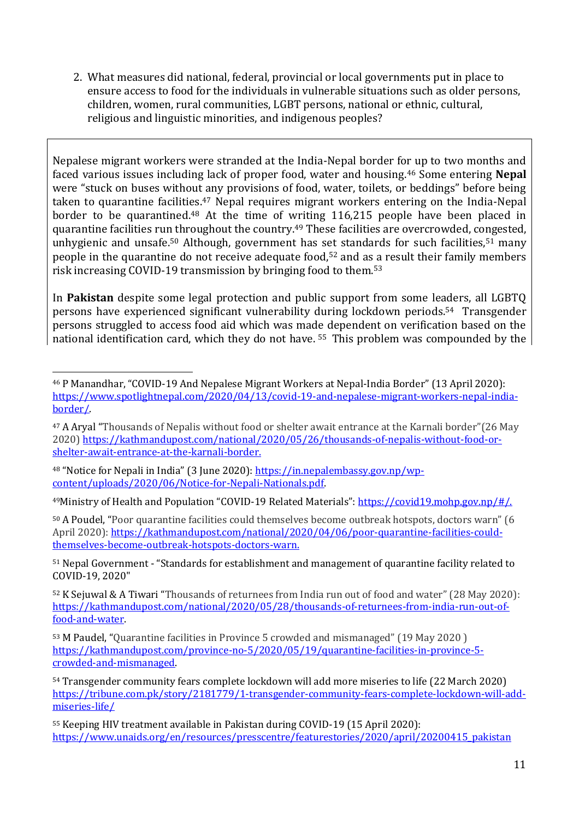2. What measures did national, federal, provincial or local governments put in place to ensure access to food for the individuals in vulnerable situations such as older persons, children, women, rural communities, LGBT persons, national or ethnic, cultural, religious and linguistic minorities, and indigenous peoples?

Nepalese migrant workers were stranded at the India-Nepal border for up to two months and faced various issues including lack of proper food, water and housing.<sup>46</sup> Some entering **Nepal**  were "stuck on buses without any provisions of food, water, toilets, or beddings" before being taken to quarantine facilities.<sup>47</sup> Nepal requires migrant workers entering on the India-Nepal border to be quarantined.<sup>48</sup> At the time of writing 116,215 people have been placed in quarantine facilities run throughout the country.<sup>49</sup> These facilities are overcrowded, congested, unhygienic and unsafe.<sup>50</sup> Although, government has set standards for such facilities,<sup>51</sup> many people in the quarantine do not receive adequate food,<sup>52</sup> and as a result their family members risk increasing COVID-19 transmission by bringing food to them.<sup>53</sup>

In **Pakistan** despite some legal protection and public support from some leaders, all LGBTQ persons have experienced significant vulnerability during lockdown periods.54 Transgender persons struggled to access food aid which was made dependent on verification based on the national identification card, which they do not have. <sup>55</sup> This problem was compounded by the

<sup>48</sup> "Notice for Nepali in India" (3 June 2020)[: https://in.nepalembassy.gov.np/wp](https://in.nepalembassy.gov.np/wp-content/uploads/2020/06/Notice-for-Nepali-Nationals.pdf)[content/uploads/2020/06/Notice-for-Nepali-Nationals.pdf.](https://in.nepalembassy.gov.np/wp-content/uploads/2020/06/Notice-for-Nepali-Nationals.pdf)

<sup>46</sup> P Manandhar, "COVID-19 And Nepalese Migrant Workers at Nepal-India Border" (13 April 2020): [https://www.spotlightnepal.com/2020/04/13/covid-19-and-nepalese-migrant-workers-nepal-india](https://www.spotlightnepal.com/2020/04/13/covid-19-and-nepalese-migrant-workers-nepal-india-border/)[border/.](https://www.spotlightnepal.com/2020/04/13/covid-19-and-nepalese-migrant-workers-nepal-india-border/)

<sup>47</sup> A Aryal "Thousands of Nepalis without food or shelter await entrance at the Karnali border"(26 May 2020) [https://kathmandupost.com/national/2020/05/26/thousands-of-nepalis-without-food-or](https://kathmandupost.com/national/2020/05/26/thousands-of-nepalis-without-food-or-shelter-await-entrance-at-the-karnali-border)[shelter-await-entrance-at-the-karnali-border.](https://kathmandupost.com/national/2020/05/26/thousands-of-nepalis-without-food-or-shelter-await-entrance-at-the-karnali-border)

<sup>49</sup>Ministry of Health and Population "COVID-19 Related Materials": [https://covid19.mohp.gov.np/#/.](https://covid19.mohp.gov.np/#/)

<sup>50</sup> A Poudel, "Poor quarantine facilities could themselves become outbreak hotspots, doctors warn" (6 April 2020): [https://kathmandupost.com/national/2020/04/06/poor-quarantine-facilities-could](https://kathmandupost.com/national/2020/04/06/poor-quarantine-facilities-could-themselves-become-outbreak-hotspots-doctors-warn)[themselves-become-outbreak-hotspots-doctors-warn.](https://kathmandupost.com/national/2020/04/06/poor-quarantine-facilities-could-themselves-become-outbreak-hotspots-doctors-warn)

<sup>51</sup> Nepal Government - "Standards for establishment and management of quarantine facility related to COVID-19, 2020"

<sup>52</sup> K Sejuwal & A Tiwari "Thousands of returnees from India run out of food and water" (28 May 2020): [https://kathmandupost.com/national/2020/05/28/thousands-of-returnees-from-india-run-out-of](https://kathmandupost.com/national/2020/05/28/thousands-of-returnees-from-india-run-out-of-food-and-water)[food-and-water.](https://kathmandupost.com/national/2020/05/28/thousands-of-returnees-from-india-run-out-of-food-and-water)

<sup>53</sup> M Paudel, "Quarantine facilities in Province 5 crowded and mismanaged" (19 May 2020 ) [https://kathmandupost.com/province-no-5/2020/05/19/quarantine-facilities-in-province-5](https://kathmandupost.com/province-no-5/2020/05/19/quarantine-facilities-in-province-5-crowded-and-mismanaged) [crowded-and-mismanaged.](https://kathmandupost.com/province-no-5/2020/05/19/quarantine-facilities-in-province-5-crowded-and-mismanaged)

<sup>54</sup> Transgender community fears complete lockdown will add more miseries to life (22 March 2020) [https://tribune.com.pk/story/2181779/1-transgender-community-fears-complete-lockdown-will-add](https://tribune.com.pk/story/2181779/1-transgender-community-fears-complete-lockdown-will-add-miseries-life/)[miseries-life/](https://tribune.com.pk/story/2181779/1-transgender-community-fears-complete-lockdown-will-add-miseries-life/)

<sup>55</sup> Keeping HIV treatment available in Pakistan during COVID-19 (15 April 2020): [https://www.unaids.org/en/resources/presscentre/featurestories/2020/april/20200415\\_pakistan](https://www.unaids.org/en/resources/presscentre/featurestories/2020/april/20200415_pakistan)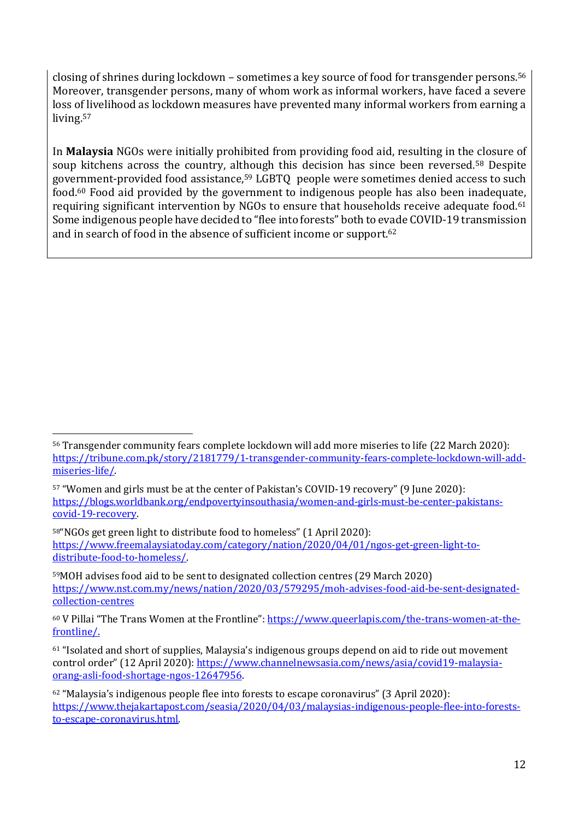closing of shrines during lockdown – sometimes a key source of food for transgender persons.<sup>56</sup> Moreover, transgender persons, many of whom work as informal workers, have faced a severe loss of livelihood as lockdown measures have prevented many informal workers from earning a living.<sup>57</sup>

In **Malaysia** NGOs were initially prohibited from providing food aid, resulting in the closure of soup kitchens across the country, although this decision has since been reversed.<sup>58</sup> Despite government-provided food assistance,<sup>59</sup> LGBTQ people were sometimes denied access to such food.<sup>60</sup> Food aid provided by the government to indigenous people has also been inadequate, requiring significant intervention by NGOs to ensure that households receive adequate food.<sup>61</sup> Some indigenous people have decided to "flee into forests" both to evade COVID-19 transmission and in search of food in the absence of sufficient income or support.<sup>62</sup>

<sup>57</sup> "Women and girls must be at the center of Pakistan's COVID-19 recovery" (9 June 2020): [https://blogs.worldbank.org/endpovertyinsouthasia/women-and-girls-must-be-center-pakistans](https://blogs.worldbank.org/endpovertyinsouthasia/women-and-girls-must-be-center-pakistans-covid-19-recovery)[covid-19-recovery.](https://blogs.worldbank.org/endpovertyinsouthasia/women-and-girls-must-be-center-pakistans-covid-19-recovery)

<sup>58</sup>"NGOs get green light to distribute food to homeless" (1 April 2020): [https://www.freemalaysiatoday.com/category/nation/2020/04/01/ngos-get-green-light-to](https://www.freemalaysiatoday.com/category/nation/2020/04/01/ngos-get-green-light-to-distribute-food-to-homeless/)[distribute-food-to-homeless/.](https://www.freemalaysiatoday.com/category/nation/2020/04/01/ngos-get-green-light-to-distribute-food-to-homeless/)

<sup>59</sup>MOH advises food aid to be sent to designated collection centres (29 March 2020) [https://www.nst.com.my/news/nation/2020/03/579295/moh-advises-food-aid-be-sent-designated](https://www.nst.com.my/news/nation/2020/03/579295/moh-advises-food-aid-be-sent-designated-collection-centres)[collection-centres](https://www.nst.com.my/news/nation/2020/03/579295/moh-advises-food-aid-be-sent-designated-collection-centres)

<sup>56</sup> Transgender community fears complete lockdown will add more miseries to life (22 March 2020): [https://tribune.com.pk/story/2181779/1-transgender-community-fears-complete-lockdown-will-add](https://tribune.com.pk/story/2181779/1-transgender-community-fears-complete-lockdown-will-add-miseries-life/)[miseries-life/.](https://tribune.com.pk/story/2181779/1-transgender-community-fears-complete-lockdown-will-add-miseries-life/)

<sup>60</sup> V Pillai "The Trans Women at the Frontline": [https://www.queerlapis.com/the-trans-women-at-the](https://www.queerlapis.com/the-trans-women-at-the-frontline/)[frontline/.](https://www.queerlapis.com/the-trans-women-at-the-frontline/)

<sup>61</sup> "Isolated and short of supplies, Malaysia's indigenous groups depend on aid to ride out movement control order" (12 April 2020): [https://www.channelnewsasia.com/news/asia/covid19-malaysia](https://www.channelnewsasia.com/news/asia/covid19-malaysia-orang-asli-food-shortage-ngos-12647956)[orang-asli-food-shortage-ngos-12647956.](https://www.channelnewsasia.com/news/asia/covid19-malaysia-orang-asli-food-shortage-ngos-12647956)

<sup>62</sup> "Malaysia's indigenous people flee into forests to escape coronavirus" (3 April 2020): [https://www.thejakartapost.com/seasia/2020/04/03/malaysias-indigenous-people-flee-into-forests](https://www.thejakartapost.com/seasia/2020/04/03/malaysias-indigenous-people-flee-into-forests-to-escape-coronavirus.html)[to-escape-coronavirus.html.](https://www.thejakartapost.com/seasia/2020/04/03/malaysias-indigenous-people-flee-into-forests-to-escape-coronavirus.html)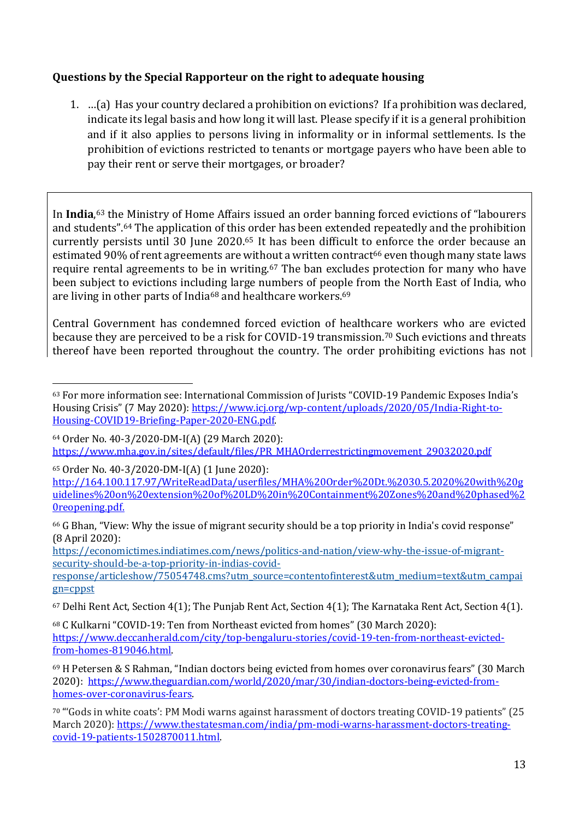## **Questions by the Special Rapporteur on the right to adequate housing**

1. …(a) Has your country declared a prohibition on evictions? If a prohibition was declared, indicate its legal basis and how long it will last. Please specify if it is a general prohibition and if it also applies to persons living in informality or in informal settlements. Is the prohibition of evictions restricted to tenants or mortgage payers who have been able to pay their rent or serve their mortgages, or broader?

In **India**, <sup>63</sup> the Ministry of Home Affairs issued an order banning forced evictions of "labourers and students".<sup>64</sup> The application of this order has been extended repeatedly and the prohibition currently persists until 30 June 2020.<sup>65</sup> It has been difficult to enforce the order because an estimated 90% of rent agreements are without a written contract<sup>66</sup> even though many state laws require rental agreements to be in writing.<sup>67</sup> The ban excludes protection for many who have been subject to evictions including large numbers of people from the North East of India, who are living in other parts of India<sup>68</sup> and healthcare workers.<sup>69</sup>

Central Government has condemned forced eviction of healthcare workers who are evicted because they are perceived to be a risk for COVID-19 transmission.<sup>70</sup> Such evictions and threats thereof have been reported throughout the country. The order prohibiting evictions has not

<sup>65</sup> Order No. 40-3/2020-DM-I(A) (1 June 2020):

[http://164.100.117.97/WriteReadData/userfiles/MHA%20Order%20Dt.%2030.5.2020%20with%20g](http://164.100.117.97/WriteReadData/userfiles/MHA%20Order%20Dt.%2030.5.2020%20with%20guidelines%20on%20extension%20of%20LD%20in%20Containment%20Zones%20and%20phased%20reopening.pdf) [uidelines%20on%20extension%20of%20LD%20in%20Containment%20Zones%20and%20phased%2](http://164.100.117.97/WriteReadData/userfiles/MHA%20Order%20Dt.%2030.5.2020%20with%20guidelines%20on%20extension%20of%20LD%20in%20Containment%20Zones%20and%20phased%20reopening.pdf) [0reopening.pdf.](http://164.100.117.97/WriteReadData/userfiles/MHA%20Order%20Dt.%2030.5.2020%20with%20guidelines%20on%20extension%20of%20LD%20in%20Containment%20Zones%20and%20phased%20reopening.pdf)

[https://economictimes.indiatimes.com/news/politics-and-nation/view-why-the-issue-of-migrant](https://economictimes.indiatimes.com/news/politics-and-nation/view-why-the-issue-of-migrant-security-should-be-a-top-priority-in-indias-covid-response/articleshow/75054748.cms?utm_source=contentofinterest&utm_medium=text&utm_campaign=cppst)[security-should-be-a-top-priority-in-indias-covid-](https://economictimes.indiatimes.com/news/politics-and-nation/view-why-the-issue-of-migrant-security-should-be-a-top-priority-in-indias-covid-response/articleshow/75054748.cms?utm_source=contentofinterest&utm_medium=text&utm_campaign=cppst)

<sup>63</sup> For more information see: International Commission of Jurists "COVID-19 Pandemic Exposes India's Housing Crisis" (7 May 2020): [https://www.icj.org/wp-content/uploads/2020/05/India-Right-to-](https://www.icj.org/wp-content/uploads/2020/05/India-Right-to-Housing-COVID19-Briefing-Paper-2020-ENG.pdf)[Housing-COVID19-Briefing-Paper-2020-ENG.pdf.](https://www.icj.org/wp-content/uploads/2020/05/India-Right-to-Housing-COVID19-Briefing-Paper-2020-ENG.pdf)

<sup>64</sup> Order No. 40-3/2020-DM-I(A) (29 March 2020): [https://www.mha.gov.in/sites/default/files/PR\\_MHAOrderrestrictingmovement\\_29032020.pdf](https://www.mha.gov.in/sites/default/files/PR_MHAOrderrestrictingmovement_29032020.pdf)

<sup>66</sup> G Bhan, "View: Why the issue of migrant security should be a top priority in India's covid response" (8 April 2020):

[response/articleshow/75054748.cms?utm\\_source=contentofinterest&utm\\_medium=text&utm\\_campai](https://economictimes.indiatimes.com/news/politics-and-nation/view-why-the-issue-of-migrant-security-should-be-a-top-priority-in-indias-covid-response/articleshow/75054748.cms?utm_source=contentofinterest&utm_medium=text&utm_campaign=cppst) [gn=cppst](https://economictimes.indiatimes.com/news/politics-and-nation/view-why-the-issue-of-migrant-security-should-be-a-top-priority-in-indias-covid-response/articleshow/75054748.cms?utm_source=contentofinterest&utm_medium=text&utm_campaign=cppst)

<sup>67</sup> Delhi Rent Act, Section 4(1); The Punjab Rent Act, Section 4(1); The Karnataka Rent Act, Section 4(1).

<sup>68</sup> C Kulkarni "COVID-19: Ten from Northeast evicted from homes" (30 March 2020): [https://www.deccanherald.com/city/top-bengaluru-stories/covid-19-ten-from-northeast-evicted](https://www.deccanherald.com/city/top-bengaluru-stories/covid-19-ten-from-northeast-evicted-from-homes-819046.html)[from-homes-819046.html.](https://www.deccanherald.com/city/top-bengaluru-stories/covid-19-ten-from-northeast-evicted-from-homes-819046.html)

<sup>69</sup> H Petersen & S Rahman, "Indian doctors being evicted from homes over coronavirus fears" (30 March 2020): [https://www.theguardian.com/world/2020/mar/30/indian-doctors-being-evicted-from](https://www.theguardian.com/world/2020/mar/30/indian-doctors-being-evicted-from-homes-over-coronavirus-fears)[homes-over-coronavirus-fears.](https://www.theguardian.com/world/2020/mar/30/indian-doctors-being-evicted-from-homes-over-coronavirus-fears) 

<sup>70</sup> "'Gods in white coats': PM Modi warns against harassment of doctors treating COVID-19 patients" (25 March 2020): [https://www.thestatesman.com/india/pm-modi-warns-harassment-doctors-treating](https://www.thestatesman.com/india/pm-modi-warns-harassment-doctors-treating-covid-19-patients-1502870011.html)[covid-19-patients-1502870011.html.](https://www.thestatesman.com/india/pm-modi-warns-harassment-doctors-treating-covid-19-patients-1502870011.html)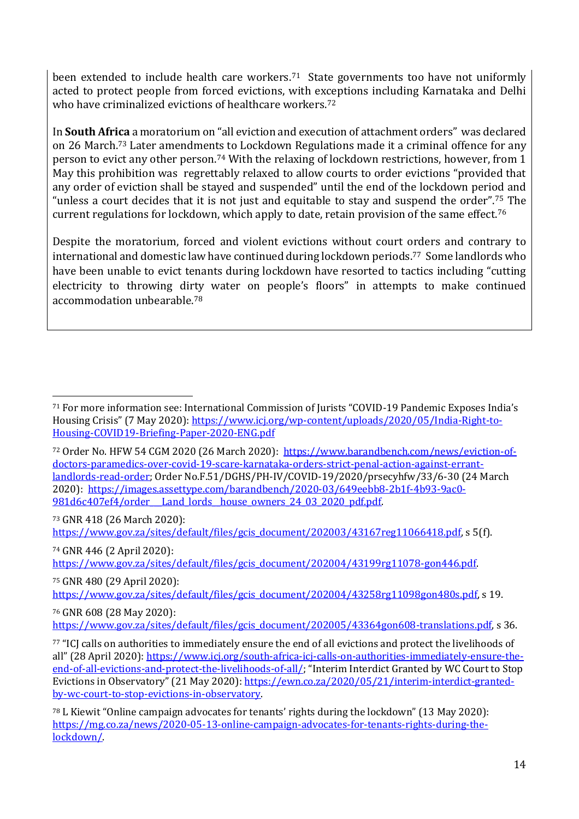been extended to include health care workers. <sup>71</sup> State governments too have not uniformly acted to protect people from forced evictions, with exceptions including Karnataka and Delhi who have criminalized evictions of healthcare workers.<sup>72</sup>

In **South Africa** a moratorium on "all eviction and execution of attachment orders" was declared on 26 March.<sup>73</sup> [Later amendments](https://www.gov.za/sites/default/files/gcis_document/202004/43199rg11078-gon446.pdf) to Lockdown Regulations made it a criminal offence for any person to evict any other person.<sup>74</sup> With the relaxing of lockdown restrictions, however, from 1 May this prohibition was regrettably relaxed to allow courts to order evictions "provided that any order of eviction shall be stayed and suspended" until the end of the lockdown period and "unless a court decides that it is not just and equitable to stay and suspend the order".<sup>75</sup> The current regulations for lockdown, which apply to date, retain provision of the same effect.<sup>76</sup>

Despite the moratorium, forced and violent evictions without court orders and contrary to international and domestic law have continued during lockdown periods.77 Some landlords who have been unable to evict tenants during lockdown have resorted to tactics including "cutting electricity to throwing dirty water on people's floors" in attempts to make continued accommodation unbearable.<sup>78</sup>

72 Order No. HFW 54 CGM 2020 (26 March 2020): [https://www.barandbench.com/news/eviction-of](https://www.barandbench.com/news/eviction-of-doctors-paramedics-over-covid-19-scare-karnataka-orders-strict-penal-action-against-errant-landlords-read-order)[doctors-paramedics-over-covid-19-scare-karnataka-orders-strict-penal-action-against-errant](https://www.barandbench.com/news/eviction-of-doctors-paramedics-over-covid-19-scare-karnataka-orders-strict-penal-action-against-errant-landlords-read-order)[landlords-read-order;](https://www.barandbench.com/news/eviction-of-doctors-paramedics-over-covid-19-scare-karnataka-orders-strict-penal-action-against-errant-landlords-read-order) Order No.F.51/DGHS/PH-IV/COVID-19/2020/prsecyhfw/33/6-30 (24 March 2020): [https://images.assettype.com/barandbench/2020-03/649eebb8-2b1f-4b93-9ac0-](https://images.assettype.com/barandbench/2020-03/649eebb8-2b1f-4b93-9ac0-981d6c407ef4/order___Land_lords__house_owners_24_03_2020_pdf.pdf) 981d6c407ef4/order\_\_Land\_lords\_house\_owners\_24\_03\_2020\_pdf.pdf.

<sup>73</sup> GNR 418 (26 March 2020): [https://www.gov.za/sites/default/files/gcis\\_document/202003/43167reg11066418.pdf,](https://www.gov.za/sites/default/files/gcis_document/202003/43167reg11066418.pdf) s 5(f).

<sup>74</sup> GNR 446 (2 April 2020): [https://www.gov.za/sites/default/files/gcis\\_document/202004/43199rg11078-gon446.pdf.](https://www.gov.za/sites/default/files/gcis_document/202004/43199rg11078-gon446.pdf)

<sup>75</sup> GNR 480 (29 April 2020): [https://www.gov.za/sites/default/files/gcis\\_document/202004/43258rg11098gon480s.pdf,](https://www.gov.za/sites/default/files/gcis_document/202004/43258rg11098gon480s.pdf) s 19.

<sup>76</sup> GNR 608 (28 May 2020):

[https://www.gov.za/sites/default/files/gcis\\_document/202005/43364gon608-translations.pdf,](https://www.gov.za/sites/default/files/gcis_document/202005/43364gon608-translations.pdf) s 36.

<sup>71</sup> For more information see: International Commission of Jurists "COVID-19 Pandemic Exposes India's Housing Crisis" (7 May 2020): [https://www.icj.org/wp-content/uploads/2020/05/India-Right-to-](https://www.icj.org/wp-content/uploads/2020/05/India-Right-to-Housing-COVID19-Briefing-Paper-2020-ENG.pdf)[Housing-COVID19-Briefing-Paper-2020-ENG.pdf](https://www.icj.org/wp-content/uploads/2020/05/India-Right-to-Housing-COVID19-Briefing-Paper-2020-ENG.pdf)

<sup>77</sup> "ICJ calls on authorities to immediately ensure the end of all evictions and protect the livelihoods of all" (28 April 2020): [https://www.icj.org/south-africa-icj-calls-on-authorities-immediately-ensure-the](https://www.icj.org/south-africa-icj-calls-on-authorities-immediately-ensure-the-end-of-all-evictions-and-protect-the-livelihoods-of-all/)[end-of-all-evictions-and-protect-the-livelihoods-of-all/](https://www.icj.org/south-africa-icj-calls-on-authorities-immediately-ensure-the-end-of-all-evictions-and-protect-the-livelihoods-of-all/); "Interim Interdict Granted by WC Court to Stop Evictions in Observatory" (21 May 2020): [https://ewn.co.za/2020/05/21/interim-interdict-granted](https://ewn.co.za/2020/05/21/interim-interdict-granted-by-wc-court-to-stop-evictions-in-observatory)[by-wc-court-to-stop-evictions-in-observatory.](https://ewn.co.za/2020/05/21/interim-interdict-granted-by-wc-court-to-stop-evictions-in-observatory)

<sup>78</sup> L Kiewit "Online campaign advocates for tenants' rights during the lockdown" (13 May 2020): [https://mg.co.za/news/2020-05-13-online-campaign-advocates-for-tenants-rights-during-the](https://mg.co.za/news/2020-05-13-online-campaign-advocates-for-tenants-rights-during-the-lockdown/)[lockdown/.](https://mg.co.za/news/2020-05-13-online-campaign-advocates-for-tenants-rights-during-the-lockdown/)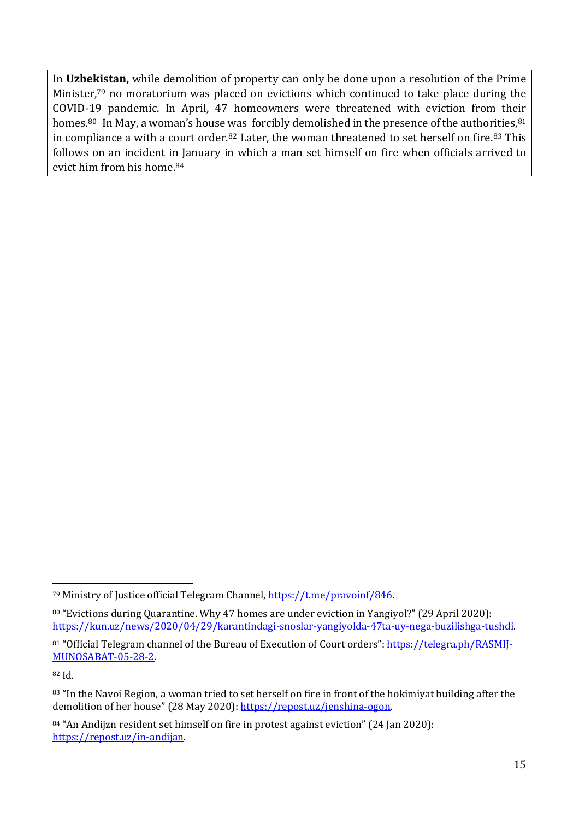In **Uzbekistan,** while demolition of property can only be done upon a resolution of the Prime Minister,<sup>79</sup> no moratorium was placed on evictions which continued to take place during the COVID-19 pandemic. In April, 47 homeowners were threatened with eviction from their homes.<sup>80</sup> In May, a woman's house was forcibly demolished in the presence of the authorities,  $81$ in compliance a with a court order.<sup>82</sup> Later, the woman threatened to set herself on fire.<sup>83</sup> This follows on an incident in January in which a man set himself on fire when officials arrived to evict him from his home.<sup>84</sup>

<sup>79</sup> Ministry of Justice official Telegram Channel, [https://t.me/pravoinf/846.](https://t.me/pravoinf/846)

<sup>80</sup> "Evictions during Quarantine. Why 47 homes are under eviction in Yangiyol?" (29 April 2020): [https://kun.uz/news/2020/04/29/karantindagi-snoslar-yangiyolda-47ta-uy-nega-buzilishga-tushdi.](https://kun.uz/news/2020/04/29/karantindagi-snoslar-yangiyolda-47ta-uy-nega-buzilishga-tushdi)

<sup>81 &</sup>quot;Official Telegram channel of the Bureau of Execution of Court orders": [https://telegra.ph/RASMIJ-](https://telegra.ph/RASMIJ-MUNOSABAT-05-28-2)[MUNOSABAT-05-28-2.](https://telegra.ph/RASMIJ-MUNOSABAT-05-28-2)

<sup>82</sup> Id.

<sup>83 &</sup>quot;In the Navoi Region, a woman tried to set herself on fire in front of the hokimiyat building after the demolition of her house" (28 May 2020): [https://repost.uz/jenshina-ogon.](https://repost.uz/jenshina-ogon)

<sup>84 &</sup>quot;An Andijzn resident set himself on fire in protest against eviction" (24 Jan 2020): [https://repost.uz/in-andijan.](https://repost.uz/in-andijan)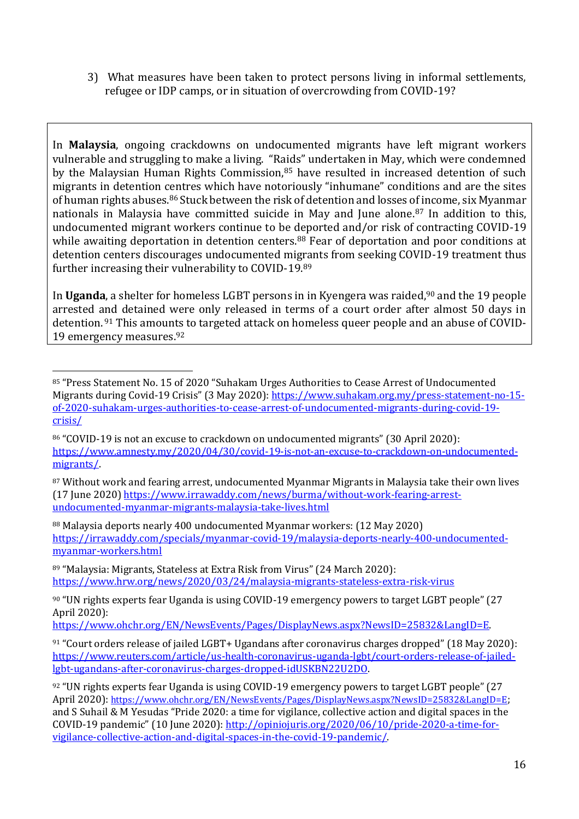3) What measures have been taken to protect persons living in informal settlements, refugee or IDP camps, or in situation of overcrowding from COVID-19?

In **Malaysia**, ongoing crackdowns on undocumented migrants have left migrant workers vulnerable and struggling to make a living. "Raids" undertaken in May, which were condemned by the Malaysian Human Rights Commission,<sup>85</sup> have resulted in increased detention of such migrants in detention centres which have notoriously "inhumane" conditions and are the sites of human rights abuses.<sup>86</sup> Stuck between the risk of detention and losses of income, six Myanmar nationals in Malaysia have committed suicide in May and June alone.<sup>87</sup> In addition to this, undocumented migrant workers continue to be deported and/or risk of contracting COVID-19 while awaiting deportation in detention centers.<sup>88</sup> Fear of deportation and poor conditions at detention centers discourages undocumented migrants from seeking COVID-19 treatment thus further increasing their vulnerability to COVID-19.<sup>89</sup>

In **Uganda**, a shelter for homeless LGBT persons in in Kyengera was raided,<sup>90</sup> and the 19 people arrested and detained were only released in terms of a court order after almost 50 days in detention. <sup>91</sup> This amounts to targeted attack on homeless queer people and an abuse of COVID-19 emergency measures.<sup>92</sup>

<sup>87</sup> Without work and fearing arrest, undocumented Myanmar Migrants in Malaysia take their own lives (17 June 2020) [https://www.irrawaddy.com/news/burma/without-work-fearing-arrest](https://www.irrawaddy.com/news/burma/without-work-fearing-arrest-undocumented-myanmar-migrants-malaysia-take-lives.html)[undocumented-myanmar-migrants-malaysia-take-lives.html](https://www.irrawaddy.com/news/burma/without-work-fearing-arrest-undocumented-myanmar-migrants-malaysia-take-lives.html)

<sup>88</sup> Malaysia deports nearly 400 undocumented Myanmar workers: (12 May 2020) [https://irrawaddy.com/specials/myanmar-covid-19/malaysia-deports-nearly-400-undocumented](https://www.irrawaddy.com/specials/myanmar-covid-19/malaysia-deports-nearly-400-undocumented-myanmar-workers.html)[myanmar-workers.html](https://www.irrawaddy.com/specials/myanmar-covid-19/malaysia-deports-nearly-400-undocumented-myanmar-workers.html)

<sup>89</sup> "Malaysia: Migrants, Stateless at Extra Risk from Virus" (24 March 2020): <https://www.hrw.org/news/2020/03/24/malaysia-migrants-stateless-extra-risk-virus>

[https://www.ohchr.org/EN/NewsEvents/Pages/DisplayNews.aspx?NewsID=25832&LangID=E.](https://www.ohchr.org/EN/NewsEvents/Pages/DisplayNews.aspx?NewsID=25832&LangID=E)

<sup>85</sup> "Press Statement No. 15 of 2020 "Suhakam Urges Authorities to Cease Arrest of Undocumented Migrants during Covid-19 Crisis" (3 May 2020): [https://www.suhakam.org.my/press-statement-no-15](https://www.suhakam.org.my/press-statement-no-15-of-2020-suhakam-urges-authorities-to-cease-arrest-of-undocumented-migrants-during-covid-19-crisis/) [of-2020-suhakam-urges-authorities-to-cease-arrest-of-undocumented-migrants-during-covid-19](https://www.suhakam.org.my/press-statement-no-15-of-2020-suhakam-urges-authorities-to-cease-arrest-of-undocumented-migrants-during-covid-19-crisis/) [crisis/](https://www.suhakam.org.my/press-statement-no-15-of-2020-suhakam-urges-authorities-to-cease-arrest-of-undocumented-migrants-during-covid-19-crisis/)

<sup>86 &</sup>quot;COVID-19 is not an excuse to crackdown on undocumented migrants" (30 April 2020): [https://www.amnesty.my/2020/04/30/covid-19-is-not-an-excuse-to-crackdown-on-undocumented](https://www.amnesty.my/2020/04/30/covid-19-is-not-an-excuse-to-crackdown-on-undocumented-migrants/)[migrants/.](https://www.amnesty.my/2020/04/30/covid-19-is-not-an-excuse-to-crackdown-on-undocumented-migrants/)

<sup>90</sup> "UN rights experts fear Uganda is using COVID-19 emergency powers to target LGBT people" (27 April 2020):

<sup>91</sup> "Court orders release of jailed LGBT+ Ugandans after coronavirus charges dropped" (18 May 2020): [https://www.reuters.com/article/us-health-coronavirus-uganda-lgbt/court-orders-release-of-jailed](https://www.reuters.com/article/us-health-coronavirus-uganda-lgbt/court-orders-release-of-jailed-lgbt-ugandans-after-coronavirus-charges-dropped-idUSKBN22U2DO)[lgbt-ugandans-after-coronavirus-charges-dropped-idUSKBN22U2DO.](https://www.reuters.com/article/us-health-coronavirus-uganda-lgbt/court-orders-release-of-jailed-lgbt-ugandans-after-coronavirus-charges-dropped-idUSKBN22U2DO)

<sup>92</sup> "UN rights experts fear Uganda is using COVID-19 emergency powers to target LGBT people" (27 April 2020): <https://www.ohchr.org/EN/NewsEvents/Pages/DisplayNews.aspx?NewsID=25832&LangID=E>; and S Suhail & M Yesudas "Pride 2020: a time for vigilance, collective action and digital spaces in the COVID-19 pandemic" (10 June 2020): [http://opiniojuris.org/2020/06/10/pride-2020-a-time-for](http://opiniojuris.org/2020/06/10/pride-2020-a-time-for-vigilance-collective-action-and-digital-spaces-in-the-covid-19-pandemic/)[vigilance-collective-action-and-digital-spaces-in-the-covid-19-pandemic/.](http://opiniojuris.org/2020/06/10/pride-2020-a-time-for-vigilance-collective-action-and-digital-spaces-in-the-covid-19-pandemic/)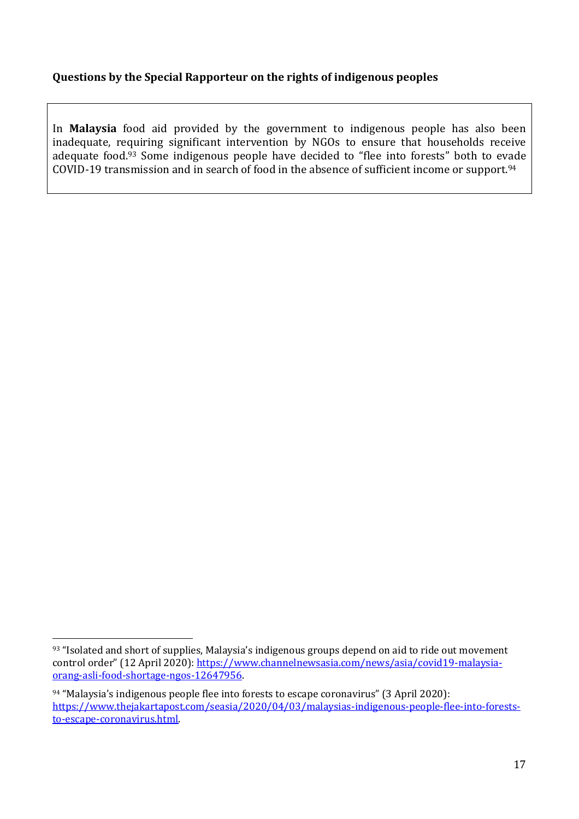### **Questions by the Special Rapporteur on the rights of indigenous peoples**

In **Malaysia** food aid provided by the government to indigenous people has also been inadequate, requiring significant intervention by NGOs to ensure that households receive adequate food.<sup>93</sup> Some indigenous people have decided to "flee into forests" both to evade COVID-19 transmission and in search of food in the absence of sufficient income or support.<sup>94</sup>

<sup>93 &</sup>quot;Isolated and short of supplies, Malaysia's indigenous groups depend on aid to ride out movement control order" (12 April 2020): [https://www.channelnewsasia.com/news/asia/covid19-malaysia](https://www.channelnewsasia.com/news/asia/covid19-malaysia-orang-asli-food-shortage-ngos-12647956)[orang-asli-food-shortage-ngos-12647956.](https://www.channelnewsasia.com/news/asia/covid19-malaysia-orang-asli-food-shortage-ngos-12647956)

<sup>94</sup> "Malaysia's indigenous people flee into forests to escape coronavirus" (3 April 2020): [https://www.thejakartapost.com/seasia/2020/04/03/malaysias-indigenous-people-flee-into-forests](https://www.thejakartapost.com/seasia/2020/04/03/malaysias-indigenous-people-flee-into-forests-to-escape-coronavirus.html)[to-escape-coronavirus.html.](https://www.thejakartapost.com/seasia/2020/04/03/malaysias-indigenous-people-flee-into-forests-to-escape-coronavirus.html)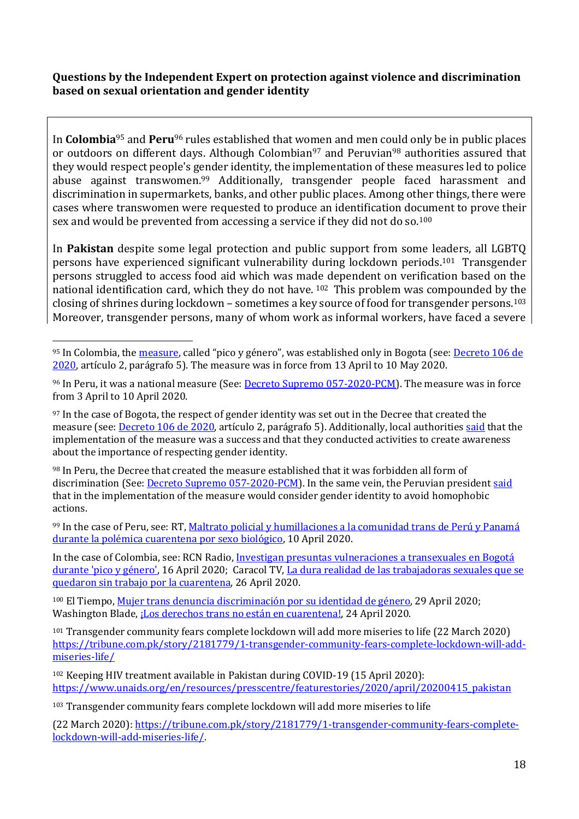#### **Questions by the Independent Expert on protection against violence and discrimination based on sexual orientation and gender identity**

In **Colombia**<sup>95</sup> and **Peru**<sup>96</sup> rules established that women and men could only be in public places or outdoors on different days. Although Colombian<sup>97</sup> and Peruvian<sup>98</sup> authorities assured that they would respect people's gender identity, the implementation of these measures led to police abuse against transwomen.<sup>99</sup> Additionally, transgender people faced harassment and discrimination in supermarkets, banks, and other public places. Among other things, there were cases where transwomen were requested to produce an identification document to prove their sex and would be prevented from accessing a service if they did not do so.<sup>100</sup>

In **Pakistan** despite some legal protection and public support from some leaders, all LGBTQ persons have experienced significant vulnerability during lockdown periods.101 Transgender persons struggled to access food aid which was made dependent on verification based on the national identification card, which they do not have. <sup>102</sup> This problem was compounded by the closing of shrines during lockdown – sometimes a key source of food for transgender persons.<sup>103</sup> Moreover, transgender persons, many of whom work as informal workers, have faced a severe

98 In Peru, the Decree that created the measure established that it was forbidden all form of discrimination (See: [Decreto Supremo 057-2020-PCM\)](https://busquedas.elperuano.pe/normaslegales/decreto-supremo-que-modifica-el-articulo-3-del-decreto-supre-decreto-supremo-no-057-2020-pcm-1865326-2/). In the same vein, the Peruvian president [said](https://gestion.pe/peru/gobierno-reitera-respeto-a-identidad-lgbti-en-medio-de-medidas-contra-el-coronavirus-noticia/) that in the implementation of the measure would consider gender identity to avoid homophobic actions.

99 In the case of Peru, see: RT, Maltrato policial y humillaciones a la comunidad trans de Perú y Panamá [durante la polémica cuarentena por sexo biológico,](https://actualidad.rt.com/actualidad/349169-humillaciones-trans-cuarentena-genero-panama-peru) 10 April 2020.

In the case of Colombia, see: RCN Radio, Investigan presuntas vulneraciones a transexuales en Bogotá [durante 'pico y género',](https://www.rcnradio.com/bogota/investigan-presuntas-vulneraciones-transexuales-en-bogota-durante-pico-y-genero) 16 April 2020; Caracol TV[, La dura realidad de las trabajadoras sexuales que se](https://noticias.caracoltv.com/bogota/la-dura-realidad-de-las-trabajadoras-sexuales-que-se-quedaron-sin-trabajo-por-la-cuarentena)  [quedaron sin trabajo por la cuarentena,](https://noticias.caracoltv.com/bogota/la-dura-realidad-de-las-trabajadoras-sexuales-que-se-quedaron-sin-trabajo-por-la-cuarentena) 26 April 2020.

100 El Tiempo[, Mujer trans denuncia discriminación por su identidad de género,](https://www.eltiempo.com/bogota/mujer-trans-denuncia-discriminacion-por-su-identidad-de-genero-490088) 29 April 2020; Washington Blade, [¡Los derechos trans no están en cuarentena!,](https://www.washingtonblade.com/2020%20Bl/04/24/los-derechos-trans-no-estan-en-cuarentena/) 24 April 2020.

<sup>101</sup> Transgender community fears complete lockdown will add more miseries to life (22 March 2020) [https://tribune.com.pk/story/2181779/1-transgender-community-fears-complete-lockdown-will-add](https://tribune.com.pk/story/2181779/1-transgender-community-fears-complete-lockdown-will-add-miseries-life/)[miseries-life/](https://tribune.com.pk/story/2181779/1-transgender-community-fears-complete-lockdown-will-add-miseries-life/)

<sup>102</sup> Keeping HIV treatment available in Pakistan during COVID-19 (15 April 2020): [https://www.unaids.org/en/resources/presscentre/featurestories/2020/april/20200415\\_pakistan](https://www.unaids.org/en/resources/presscentre/featurestories/2020/april/20200415_pakistan)

<sup>103</sup> Transgender community fears complete lockdown will add more miseries to life

(22 March 2020): [https://tribune.com.pk/story/2181779/1-transgender-community-fears-complete](https://tribune.com.pk/story/2181779/1-transgender-community-fears-complete-lockdown-will-add-miseries-life/)[lockdown-will-add-miseries-life/.](https://tribune.com.pk/story/2181779/1-transgender-community-fears-complete-lockdown-will-add-miseries-life/)

<sup>95</sup> In Colombia, the [measure](https://bogota.gov.co/mi-ciudad/gobierno/cuarentena/pico-y-genero-como-funciona-en-la-cuarentena-de-bogota), called "pico y género", was established only in Bogota (see: Decreto 106 de [2020,](https://bogota.gov.co/mi-ciudad/salud/coronavirus/conoce-el-decreto-106-y-las-nuevas-restricciones-para-salir-la-calle) artículo 2, parágrafo 5). The measure was in force from 13 April to 10 May 2020.

<sup>&</sup>lt;sup>96</sup> In Peru, it was a national measure (See: *Decreto Supremo 057-2020-PCM*). The measure was in force from 3 April to 10 April 2020.

<sup>&</sup>lt;sup>97</sup> In the case of Bogota, the respect of gender identity was set out in the Decree that created the measure (see: *Decreto 106 de 2020*, artículo 2, parágrafo 5). Additionally, local authorities [said](http://www.gobiernobogota.gov.co/noticias/nivel-central/la-medida-restriccion-genero-bogota-ha-sido-exito) that the implementation of the measure was a success and that they conducted activities to create awareness about the importance of respecting gender identity.